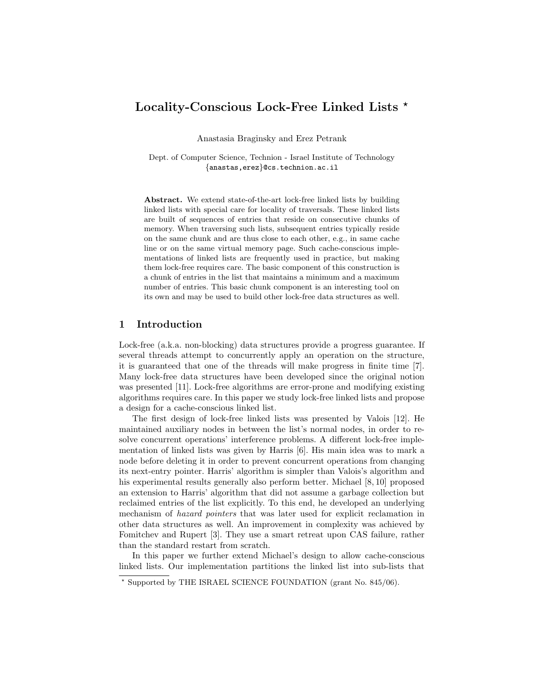# Locality-Conscious Lock-Free Linked Lists \*

Anastasia Braginsky and Erez Petrank

Dept. of Computer Science, Technion - Israel Institute of Technology {anastas,erez}@cs.technion.ac.il

Abstract. We extend state-of-the-art lock-free linked lists by building linked lists with special care for locality of traversals. These linked lists are built of sequences of entries that reside on consecutive chunks of memory. When traversing such lists, subsequent entries typically reside on the same chunk and are thus close to each other, e.g., in same cache line or on the same virtual memory page. Such cache-conscious implementations of linked lists are frequently used in practice, but making them lock-free requires care. The basic component of this construction is a chunk of entries in the list that maintains a minimum and a maximum number of entries. This basic chunk component is an interesting tool on its own and may be used to build other lock-free data structures as well.

## 1 Introduction

Lock-free (a.k.a. non-blocking) data structures provide a progress guarantee. If several threads attempt to concurrently apply an operation on the structure, it is guaranteed that one of the threads will make progress in finite time [7]. Many lock-free data structures have been developed since the original notion was presented [11]. Lock-free algorithms are error-prone and modifying existing algorithms requires care. In this paper we study lock-free linked lists and propose a design for a cache-conscious linked list.

The first design of lock-free linked lists was presented by Valois [12]. He maintained auxiliary nodes in between the list's normal nodes, in order to resolve concurrent operations' interference problems. A different lock-free implementation of linked lists was given by Harris [6]. His main idea was to mark a node before deleting it in order to prevent concurrent operations from changing its next-entry pointer. Harris' algorithm is simpler than Valois's algorithm and his experimental results generally also perform better. Michael [8, 10] proposed an extension to Harris' algorithm that did not assume a garbage collection but reclaimed entries of the list explicitly. To this end, he developed an underlying mechanism of hazard pointers that was later used for explicit reclamation in other data structures as well. An improvement in complexity was achieved by Fomitchev and Rupert [3]. They use a smart retreat upon CAS failure, rather than the standard restart from scratch.

In this paper we further extend Michael's design to allow cache-conscious linked lists. Our implementation partitions the linked list into sub-lists that

<sup>?</sup> Supported by THE ISRAEL SCIENCE FOUNDATION (grant No. 845/06).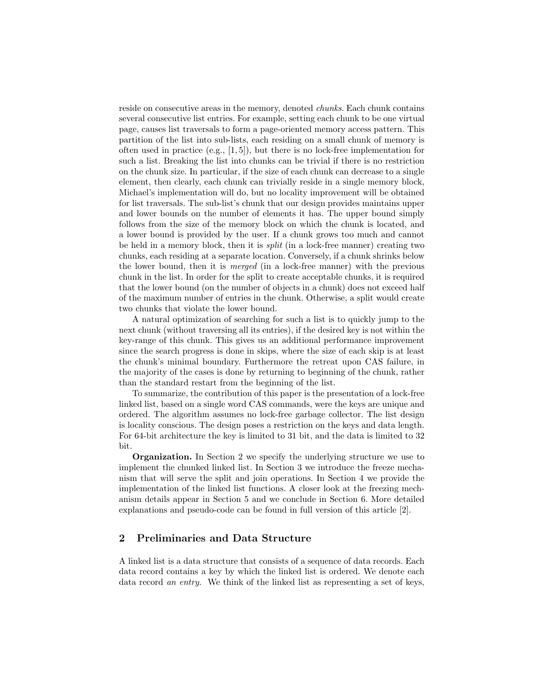reside on consecutive areas in the memory, denoted chunks. Each chunk contains several consecutive list entries. For example, setting each chunk to be one virtual page, causes list traversals to form a page-oriented memory access pattern. This partition of the list into sub-lists, each residing on a small chunk of memory is often used in practice (e.g., [1, 5]), but there is no lock-free implementation for such a list. Breaking the list into chunks can be trivial if there is no restriction on the chunk size. In particular, if the size of each chunk can decrease to a single element, then clearly, each chunk can trivially reside in a single memory block, Michael's implementation will do, but no locality improvement will be obtained for list traversals. The sub-list's chunk that our design provides maintains upper and lower bounds on the number of elements it has. The upper bound simply follows from the size of the memory block on which the chunk is located, and a lower bound is provided by the user. If a chunk grows too much and cannot be held in a memory block, then it is split (in a lock-free manner) creating two chunks, each residing at a separate location. Conversely, if a chunk shrinks below the lower bound, then it is merged (in a lock-free manner) with the previous chunk in the list. In order for the split to create acceptable chunks, it is required that the lower bound (on the number of objects in a chunk) does not exceed half of the maximum number of entries in the chunk. Otherwise, a split would create two chunks that violate the lower bound.

A natural optimization of searching for such a list is to quickly jump to the next chunk (without traversing all its entries), if the desired key is not within the key-range of this chunk. This gives us an additional performance improvement since the search progress is done in skips, where the size of each skip is at least the chunk's minimal boundary. Furthermore the retreat upon CAS failure, in the majority of the cases is done by returning to beginning of the chunk, rather than the standard restart from the beginning of the list.

To summarize, the contribution of this paper is the presentation of a lock-free linked list, based on a single word CAS commands, were the keys are unique and ordered. The algorithm assumes no lock-free garbage collector. The list design is locality conscious. The design poses a restriction on the keys and data length. For 64-bit architecture the key is limited to 31 bit, and the data is limited to 32 bit.

Organization. In Section 2 we specify the underlying structure we use to implement the chunked linked list. In Section 3 we introduce the freeze mechanism that will serve the split and join operations. In Section 4 we provide the implementation of the linked list functions. A closer look at the freezing mechanism details appear in Section 5 and we conclude in Section 6. More detailed explanations and pseudo-code can be found in full version of this article [2].

# 2 Preliminaries and Data Structure

A linked list is a data structure that consists of a sequence of data records. Each data record contains a key by which the linked list is ordered. We denote each data record an entry. We think of the linked list as representing a set of keys,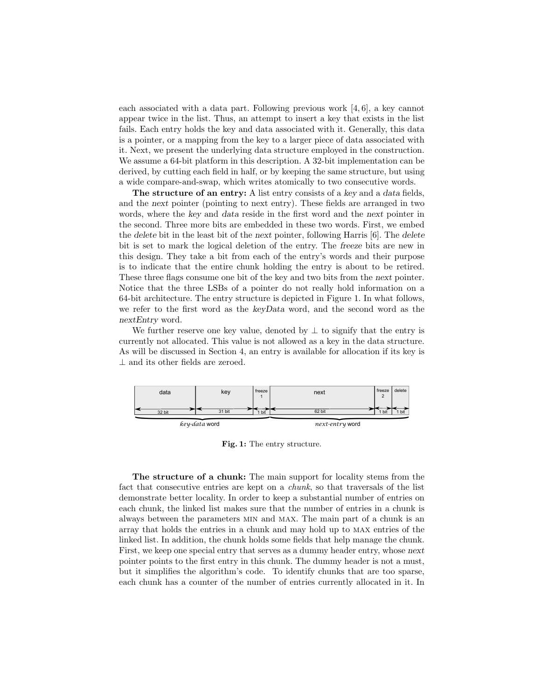each associated with a data part. Following previous work  $[4, 6]$ , a key cannot appear twice in the list. Thus, an attempt to insert a key that exists in the list fails. Each entry holds the key and data associated with it. Generally, this data is a pointer, or a mapping from the key to a larger piece of data associated with it. Next, we present the underlying data structure employed in the construction. We assume a 64-bit platform in this description. A 32-bit implementation can be derived, by cutting each field in half, or by keeping the same structure, but using a wide compare-and-swap, which writes atomically to two consecutive words.

The structure of an entry: A list entry consists of a key and a data fields, and the next pointer (pointing to next entry). These fields are arranged in two words, where the key and data reside in the first word and the next pointer in the second. Three more bits are embedded in these two words. First, we embed the delete bit in the least bit of the next pointer, following Harris [6]. The delete bit is set to mark the logical deletion of the entry. The freeze bits are new in this design. They take a bit from each of the entry's words and their purpose is to indicate that the entire chunk holding the entry is about to be retired. These three flags consume one bit of the key and two bits from the next pointer. Notice that the three LSBs of a pointer do not really hold information on a 64-bit architecture. The entry structure is depicted in Figure 1. In what follows, we refer to the first word as the keyData word, and the second word as the nextEntry word.

We further reserve one key value, denoted by  $\perp$  to signify that the entry is currently not allocated. This value is not allowed as a key in the data structure. As will be discussed in Section 4, an entry is available for allocation if its key is ⊥ and its other fields are zeroed.



Fig. 1: The entry structure.

The structure of a chunk: The main support for locality stems from the fact that consecutive entries are kept on a chunk, so that traversals of the list demonstrate better locality. In order to keep a substantial number of entries on each chunk, the linked list makes sure that the number of entries in a chunk is always between the parameters min and max. The main part of a chunk is an array that holds the entries in a chunk and may hold up to max entries of the linked list. In addition, the chunk holds some fields that help manage the chunk. First, we keep one special entry that serves as a dummy header entry, whose next pointer points to the first entry in this chunk. The dummy header is not a must, but it simplifies the algorithm's code. To identify chunks that are too sparse, each chunk has a counter of the number of entries currently allocated in it. In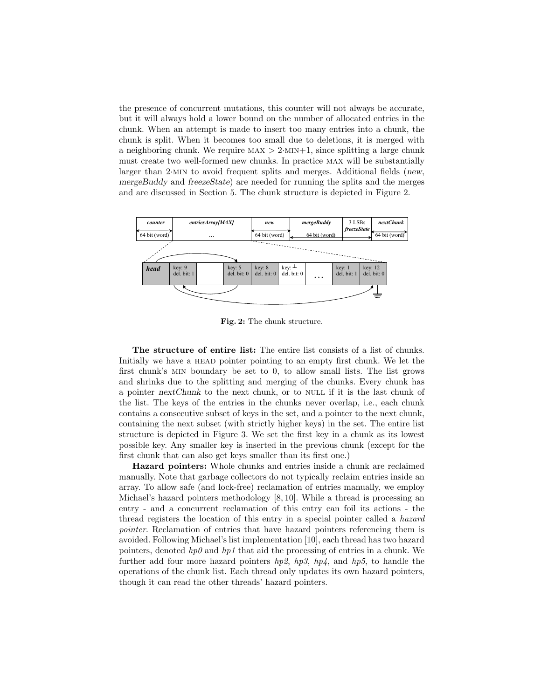the presence of concurrent mutations, this counter will not always be accurate, but it will always hold a lower bound on the number of allocated entries in the chunk. When an attempt is made to insert too many entries into a chunk, the chunk is split. When it becomes too small due to deletions, it is merged with a neighboring chunk. We require  $MAX > 2 \cdot MIN+1$ , since splitting a large chunk must create two well-formed new chunks. In practice max will be substantially larger than 2·min to avoid frequent splits and merges. Additional fields (new, mergeBuddy and freezeState) are needed for running the splits and the merges and are discussed in Section 5. The chunk structure is depicted in Figure 2.



Fig. 2: The chunk structure.

The structure of entire list: The entire list consists of a list of chunks. Initially we have a HEAD pointer pointing to an empty first chunk. We let the first chunk's min boundary be set to 0, to allow small lists. The list grows and shrinks due to the splitting and merging of the chunks. Every chunk has a pointer nextChunk to the next chunk, or to null if it is the last chunk of the list. The keys of the entries in the chunks never overlap, i.e., each chunk contains a consecutive subset of keys in the set, and a pointer to the next chunk, containing the next subset (with strictly higher keys) in the set. The entire list structure is depicted in Figure 3. We set the first key in a chunk as its lowest possible key. Any smaller key is inserted in the previous chunk (except for the first chunk that can also get keys smaller than its first one.)

Hazard pointers: Whole chunks and entries inside a chunk are reclaimed manually. Note that garbage collectors do not typically reclaim entries inside an array. To allow safe (and lock-free) reclamation of entries manually, we employ Michael's hazard pointers methodology [8, 10]. While a thread is processing an entry - and a concurrent reclamation of this entry can foil its actions - the thread registers the location of this entry in a special pointer called a hazard pointer. Reclamation of entries that have hazard pointers referencing them is avoided. Following Michael's list implementation [10], each thread has two hazard pointers, denoted  $h p \theta$  and  $h p \theta$  that aid the processing of entries in a chunk. We further add four more hazard pointers  $hp2$ ,  $hp3$ ,  $hp4$ , and  $hp5$ , to handle the operations of the chunk list. Each thread only updates its own hazard pointers, though it can read the other threads' hazard pointers.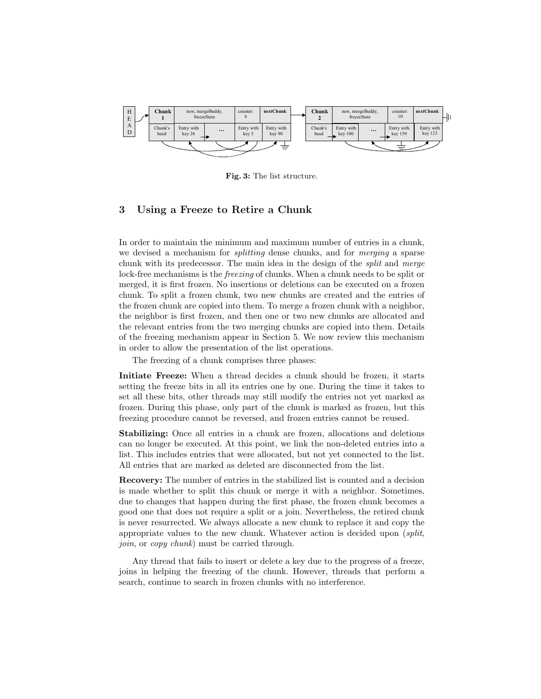

Fig. 3: The list structure.

# 3 Using a Freeze to Retire a Chunk

In order to maintain the minimum and maximum number of entries in a chunk, we devised a mechanism for splitting dense chunks, and for merging a sparse chunk with its predecessor. The main idea in the design of the split and merge lock-free mechanisms is the *freezing* of chunks. When a chunk needs to be split or merged, it is first frozen. No insertions or deletions can be executed on a frozen chunk. To split a frozen chunk, two new chunks are created and the entries of the frozen chunk are copied into them. To merge a frozen chunk with a neighbor, the neighbor is first frozen, and then one or two new chunks are allocated and the relevant entries from the two merging chunks are copied into them. Details of the freezing mechanism appear in Section 5. We now review this mechanism in order to allow the presentation of the list operations.

The freezing of a chunk comprises three phases:

Initiate Freeze: When a thread decides a chunk should be frozen, it starts setting the freeze bits in all its entries one by one. During the time it takes to set all these bits, other threads may still modify the entries not yet marked as frozen. During this phase, only part of the chunk is marked as frozen, but this freezing procedure cannot be reversed, and frozen entries cannot be reused.

Stabilizing: Once all entries in a chunk are frozen, allocations and deletions can no longer be executed. At this point, we link the non-deleted entries into a list. This includes entries that were allocated, but not yet connected to the list. All entries that are marked as deleted are disconnected from the list.

Recovery: The number of entries in the stabilized list is counted and a decision is made whether to split this chunk or merge it with a neighbor. Sometimes, due to changes that happen during the first phase, the frozen chunk becomes a good one that does not require a split or a join. Nevertheless, the retired chunk is never resurrected. We always allocate a new chunk to replace it and copy the appropriate values to the new chunk. Whatever action is decided upon  $(split$ , join, or copy chunk) must be carried through.

Any thread that fails to insert or delete a key due to the progress of a freeze, joins in helping the freezing of the chunk. However, threads that perform a search, continue to search in frozen chunks with no interference.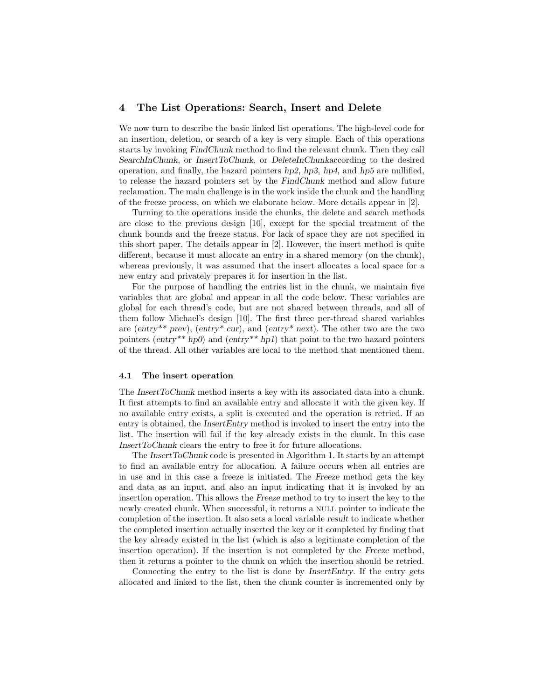# 4 The List Operations: Search, Insert and Delete

We now turn to describe the basic linked list operations. The high-level code for an insertion, deletion, or search of a key is very simple. Each of this operations starts by invoking FindChunk method to find the relevant chunk. Then they call SearchInChunk, or InsertToChunk, or DeleteInChunkaccording to the desired operation, and finally, the hazard pointers hp2, hp3, hp4, and hp5 are nullified, to release the hazard pointers set by the FindChunk method and allow future reclamation. The main challenge is in the work inside the chunk and the handling of the freeze process, on which we elaborate below. More details appear in [2].

Turning to the operations inside the chunks, the delete and search methods are close to the previous design [10], except for the special treatment of the chunk bounds and the freeze status. For lack of space they are not specified in this short paper. The details appear in [2]. However, the insert method is quite different, because it must allocate an entry in a shared memory (on the chunk), whereas previously, it was assumed that the insert allocates a local space for a new entry and privately prepares it for insertion in the list.

For the purpose of handling the entries list in the chunk, we maintain five variables that are global and appear in all the code below. These variables are global for each thread's code, but are not shared between threads, and all of them follow Michael's design [10]. The first three per-thread shared variables are (entry\*\* prev), (entry\* cur), and (entry\* next). The other two are the two pointers (entry\*\* hp0) and (entry\*\* hp1) that point to the two hazard pointers of the thread. All other variables are local to the method that mentioned them.

#### 4.1 The insert operation

The InsertToChunk method inserts a key with its associated data into a chunk. It first attempts to find an available entry and allocate it with the given key. If no available entry exists, a split is executed and the operation is retried. If an entry is obtained, the InsertEntry method is invoked to insert the entry into the list. The insertion will fail if the key already exists in the chunk. In this case InsertToChunk clears the entry to free it for future allocations.

The InsertToChunk code is presented in Algorithm 1. It starts by an attempt to find an available entry for allocation. A failure occurs when all entries are in use and in this case a freeze is initiated. The Freeze method gets the key and data as an input, and also an input indicating that it is invoked by an insertion operation. This allows the Freeze method to try to insert the key to the newly created chunk. When successful, it returns a NULL pointer to indicate the completion of the insertion. It also sets a local variable result to indicate whether the completed insertion actually inserted the key or it completed by finding that the key already existed in the list (which is also a legitimate completion of the insertion operation). If the insertion is not completed by the Freeze method, then it returns a pointer to the chunk on which the insertion should be retried.

Connecting the entry to the list is done by InsertEntry. If the entry gets allocated and linked to the list, then the chunk counter is incremented only by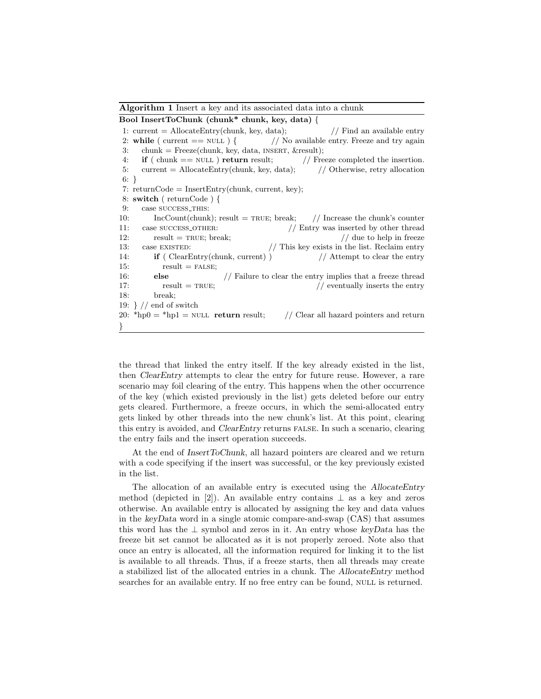Algorithm 1 Insert a key and its associated data into a chunk

Bool InsertToChunk (chunk\* chunk, key, data) { 1: current = AllocateEntry(chunk, key, data);  $// Find an available entry$ 2: while ( current  $==$  NULL ) {  $//$  No available entry. Freeze and try again 3: chunk = Freeze(chunk, key, data, INSERT,  $&$ result); 4: if ( chunk  $==$  NULL ) return result;  $//$  Freeze completed the insertion. 5: current = AllocateEntry(chunk, key, data);  $//$  Otherwise, retry allocation 6: } 7:  $returnCode = InsertEntry(chunk, current, key);$ 8: switch ( returnCode ) { 9: case SUCCESS\_THIS: 10: IncCount(chunk); result = TRUE; break; // Increase the chunk's counter 11: case success other: // Entry was inserted by other thread 12: result =  $TRUE$ ; break;  $//$  due to help in freeze 13: case EXISTED: // This key exists in the list. Reclaim entry 14: **if** ( ClearEntry(chunk, current) ) // Attempt to clear the entry  $15:$  result = FALSE; 16: else // Failure to clear the entry implies that a freeze thread 17: result =  $T_{\text{RUE}}$ ; // eventually inserts the entry 18: break; 19: } // end of switch 20: \*hp0 = \*hp1 = NULL return result; // Clear all hazard pointers and return }

the thread that linked the entry itself. If the key already existed in the list, then ClearEntry attempts to clear the entry for future reuse. However, a rare scenario may foil clearing of the entry. This happens when the other occurrence of the key (which existed previously in the list) gets deleted before our entry gets cleared. Furthermore, a freeze occurs, in which the semi-allocated entry gets linked by other threads into the new chunk's list. At this point, clearing this entry is avoided, and ClearEntry returns false. In such a scenario, clearing the entry fails and the insert operation succeeds.

At the end of InsertToChunk, all hazard pointers are cleared and we return with a code specifying if the insert was successful, or the key previously existed in the list.

The allocation of an available entry is executed using the AllocateEntry method (depicted in [2]). An available entry contains  $\perp$  as a key and zeros otherwise. An available entry is allocated by assigning the key and data values in the keyData word in a single atomic compare-and-swap (CAS) that assumes this word has the ⊥ symbol and zeros in it. An entry whose keyData has the freeze bit set cannot be allocated as it is not properly zeroed. Note also that once an entry is allocated, all the information required for linking it to the list is available to all threads. Thus, if a freeze starts, then all threads may create a stabilized list of the allocated entries in a chunk. The AllocateEntry method searches for an available entry. If no free entry can be found, NULL is returned.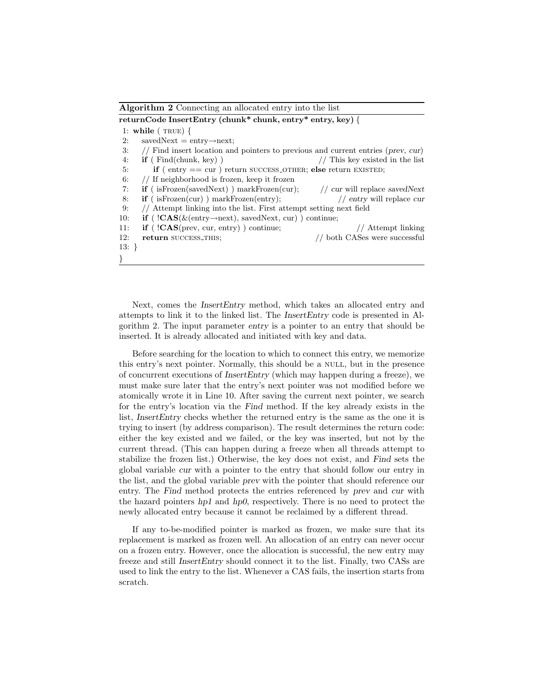Algorithm 2 Connecting an allocated entry into the list

}

# returnCode InsertEntry (chunk\* chunk, entry\* entry, key) { 1: while  $(\text{TRUE})$  { 2: savedNext = entry $\rightarrow$ next; 3: // Find insert location and pointers to previous and current entries (prev, cur) 4: **if** (Find(chunk, key))  $\frac{1}{2}$  // This key existed in the list 5: if (  $entry == cur$  ) return SUCCESS\_OTHER; else return EXISTED; 6: // If neighborhood is frozen, keep it frozen 7: **if** ( isFrozen(savedNext) ) markFrozen(cur); // cur will replace savedNext 8: **if** ( isFrozen(cur) ) markFrozen(entry); // entry will replace cur 9: // Attempt linking into the list. First attempt setting next field 10: if ( $|{\bf CAS}(\&(entry \rightarrow next), savedNext, cur)$ ) continue; 11: if ( !CAS(prev, cur, entry) ) continue; // Attempt linking 12: return success\_THIS;  $// both CASes were successful$ 13: }

Next, comes the InsertEntry method, which takes an allocated entry and attempts to link it to the linked list. The InsertEntry code is presented in Algorithm 2. The input parameter entry is a pointer to an entry that should be inserted. It is already allocated and initiated with key and data.

Before searching for the location to which to connect this entry, we memorize this entry's next pointer. Normally, this should be a NULL, but in the presence of concurrent executions of InsertEntry (which may happen during a freeze), we must make sure later that the entry's next pointer was not modified before we atomically wrote it in Line 10. After saving the current next pointer, we search for the entry's location via the Find method. If the key already exists in the list, InsertEntry checks whether the returned entry is the same as the one it is trying to insert (by address comparison). The result determines the return code: either the key existed and we failed, or the key was inserted, but not by the current thread. (This can happen during a freeze when all threads attempt to stabilize the frozen list.) Otherwise, the key does not exist, and Find sets the global variable cur with a pointer to the entry that should follow our entry in the list, and the global variable prev with the pointer that should reference our entry. The Find method protects the entries referenced by prev and cur with the hazard pointers hp1 and hp0, respectively. There is no need to protect the newly allocated entry because it cannot be reclaimed by a different thread.

If any to-be-modified pointer is marked as frozen, we make sure that its replacement is marked as frozen well. An allocation of an entry can never occur on a frozen entry. However, once the allocation is successful, the new entry may freeze and still InsertEntry should connect it to the list. Finally, two CASs are used to link the entry to the list. Whenever a CAS fails, the insertion starts from scratch.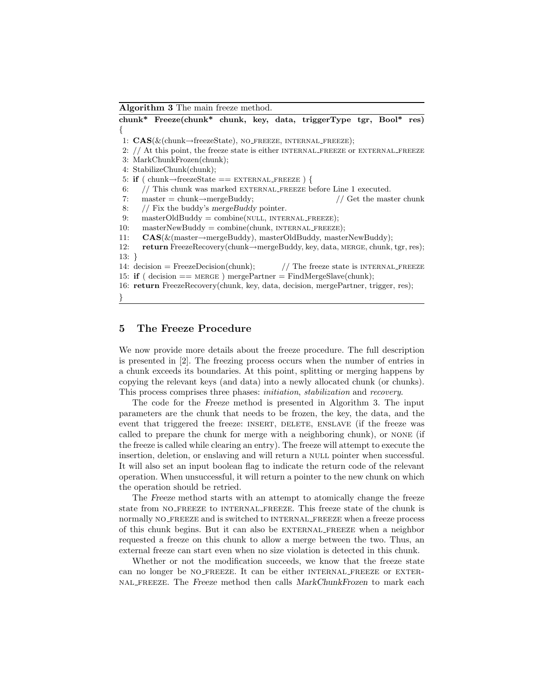Algorithm 3 The main freeze method.

chunk\* Freeze(chunk\* chunk, key, data, triggerType tgr, Bool\* res) {

1:  $\text{CAS}(\&(\text{chunk}\rightarrow\text{freezeState}),\text{NO\_FREEZE},\text{INTERNAL\_FREEZE});$ 

2:  $//$  At this point, the freeze state is either INTERNAL\_FREEZE or EXTERNAL\_FREEZE

3: MarkChunkFrozen(chunk);

4: StabilizeChunk(chunk);

5: if ( chunk $\rightarrow$ freezeState == EXTERNAL FREEZE ) {

6:  $//$  This chunk was marked EXTERNAL FREEZE before Line 1 executed.

7: master = chunk→mergeBuddy;  $//$  Get the master chunk

8:  $// Fix the buddy's mergeBuddy pointer.$ 

9: masterOldBuddy = combine(NULL, INTERNAL\_FREEZE);

10: masterNewBuddy = combine(chunk, INTERNAL\_FREEZE);

11: CAS(&(master→mergeBuddy), masterOldBuddy, masterNewBuddy);

12: return FreezeRecovery(chunk→mergeBuddy, key, data, MERGE, chunk, tgr, res); 13: }

14: decision = FreezeDecision(chunk);  $//$  The freeze state is INTERNAL\_FREEZE

15: if ( decision  $==$  MERGE ) mergePartner = FindMergeSlave(chunk);

16: return FreezeRecovery(chunk, key, data, decision, mergePartner, trigger, res);

}

# 5 The Freeze Procedure

We now provide more details about the freeze procedure. The full description is presented in [2]. The freezing process occurs when the number of entries in a chunk exceeds its boundaries. At this point, splitting or merging happens by copying the relevant keys (and data) into a newly allocated chunk (or chunks). This process comprises three phases: initiation, stabilization and recovery.

The code for the Freeze method is presented in Algorithm 3. The input parameters are the chunk that needs to be frozen, the key, the data, and the event that triggered the freeze: INSERT, DELETE, ENSLAVE (if the freeze was called to prepare the chunk for merge with a neighboring chunk), or none (if the freeze is called while clearing an entry). The freeze will attempt to execute the insertion, deletion, or enslaving and will return a NULL pointer when successful. It will also set an input boolean flag to indicate the return code of the relevant operation. When unsuccessful, it will return a pointer to the new chunk on which the operation should be retried.

The Freeze method starts with an attempt to atomically change the freeze state from NO\_FREEZE to INTERNAL\_FREEZE. This freeze state of the chunk is normally NO\_FREEZE and is switched to INTERNAL\_FREEZE when a freeze process of this chunk begins. But it can also be EXTERNAL FREEZE when a neighbor requested a freeze on this chunk to allow a merge between the two. Thus, an external freeze can start even when no size violation is detected in this chunk.

Whether or not the modification succeeds, we know that the freeze state can no longer be NO\_FREEZE. It can be either INTERNAL\_FREEZE or EXTERnal freeze. The Freeze method then calls MarkChunkFrozen to mark each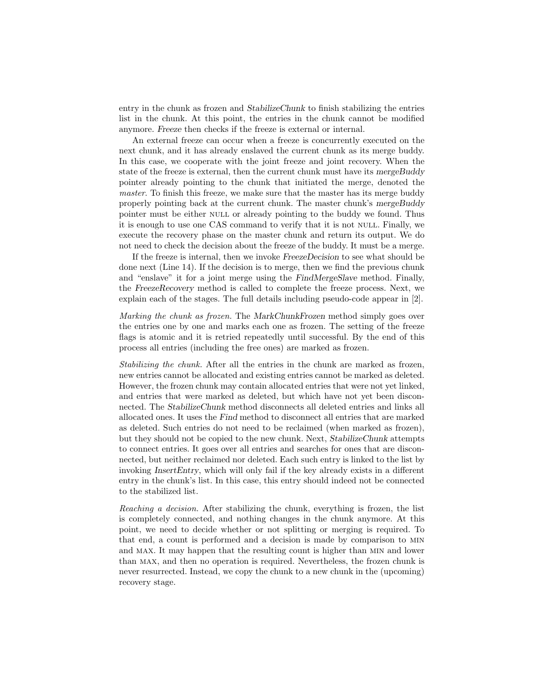entry in the chunk as frozen and StabilizeChunk to finish stabilizing the entries list in the chunk. At this point, the entries in the chunk cannot be modified anymore. Freeze then checks if the freeze is external or internal.

An external freeze can occur when a freeze is concurrently executed on the next chunk, and it has already enslaved the current chunk as its merge buddy. In this case, we cooperate with the joint freeze and joint recovery. When the state of the freeze is external, then the current chunk must have its mergeBuddy pointer already pointing to the chunk that initiated the merge, denoted the master. To finish this freeze, we make sure that the master has its merge buddy properly pointing back at the current chunk. The master chunk's mergeBuddy pointer must be either NULL or already pointing to the buddy we found. Thus it is enough to use one CAS command to verify that it is not null. Finally, we execute the recovery phase on the master chunk and return its output. We do not need to check the decision about the freeze of the buddy. It must be a merge.

If the freeze is internal, then we invoke FreezeDecision to see what should be done next (Line 14). If the decision is to merge, then we find the previous chunk and "enslave" it for a joint merge using the FindMergeSlave method. Finally, the FreezeRecovery method is called to complete the freeze process. Next, we explain each of the stages. The full details including pseudo-code appear in [2].

Marking the chunk as frozen. The MarkChunkFrozen method simply goes over the entries one by one and marks each one as frozen. The setting of the freeze flags is atomic and it is retried repeatedly until successful. By the end of this process all entries (including the free ones) are marked as frozen.

Stabilizing the chunk. After all the entries in the chunk are marked as frozen, new entries cannot be allocated and existing entries cannot be marked as deleted. However, the frozen chunk may contain allocated entries that were not yet linked, and entries that were marked as deleted, but which have not yet been disconnected. The StabilizeChunk method disconnects all deleted entries and links all allocated ones. It uses the Find method to disconnect all entries that are marked as deleted. Such entries do not need to be reclaimed (when marked as frozen), but they should not be copied to the new chunk. Next, StabilizeChunk attempts to connect entries. It goes over all entries and searches for ones that are disconnected, but neither reclaimed nor deleted. Each such entry is linked to the list by invoking InsertEntry, which will only fail if the key already exists in a different entry in the chunk's list. In this case, this entry should indeed not be connected to the stabilized list.

Reaching a decision. After stabilizing the chunk, everything is frozen, the list is completely connected, and nothing changes in the chunk anymore. At this point, we need to decide whether or not splitting or merging is required. To that end, a count is performed and a decision is made by comparison to min and max. It may happen that the resulting count is higher than min and lower than max, and then no operation is required. Nevertheless, the frozen chunk is never resurrected. Instead, we copy the chunk to a new chunk in the (upcoming) recovery stage.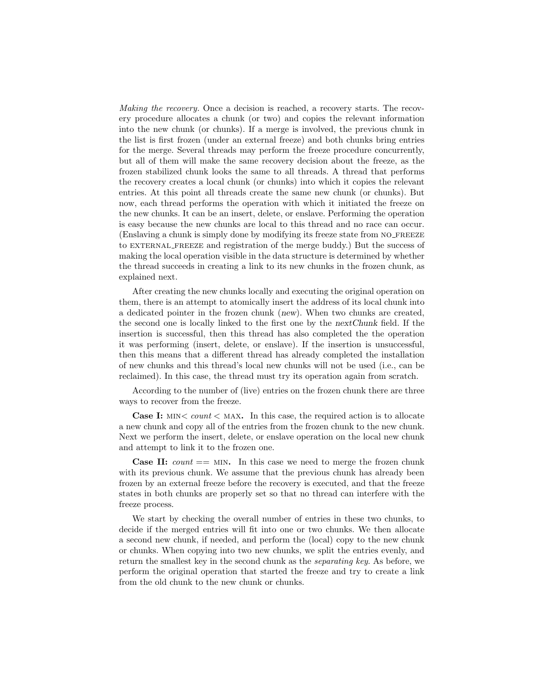Making the recovery. Once a decision is reached, a recovery starts. The recovery procedure allocates a chunk (or two) and copies the relevant information into the new chunk (or chunks). If a merge is involved, the previous chunk in the list is first frozen (under an external freeze) and both chunks bring entries for the merge. Several threads may perform the freeze procedure concurrently, but all of them will make the same recovery decision about the freeze, as the frozen stabilized chunk looks the same to all threads. A thread that performs the recovery creates a local chunk (or chunks) into which it copies the relevant entries. At this point all threads create the same new chunk (or chunks). But now, each thread performs the operation with which it initiated the freeze on the new chunks. It can be an insert, delete, or enslave. Performing the operation is easy because the new chunks are local to this thread and no race can occur. (Enslaving a chunk is simply done by modifying its freeze state from NO\_FREEZE to EXTERNAL FREEZE and registration of the merge buddy.) But the success of making the local operation visible in the data structure is determined by whether the thread succeeds in creating a link to its new chunks in the frozen chunk, as explained next.

After creating the new chunks locally and executing the original operation on them, there is an attempt to atomically insert the address of its local chunk into a dedicated pointer in the frozen chunk (new). When two chunks are created, the second one is locally linked to the first one by the nextChunk field. If the insertion is successful, then this thread has also completed the the operation it was performing (insert, delete, or enslave). If the insertion is unsuccessful, then this means that a different thread has already completed the installation of new chunks and this thread's local new chunks will not be used (i.e., can be reclaimed). In this case, the thread must try its operation again from scratch.

According to the number of (live) entries on the frozen chunk there are three ways to recover from the freeze.

Case I:  $MIN < count < MAX$ . In this case, the required action is to allocate a new chunk and copy all of the entries from the frozen chunk to the new chunk. Next we perform the insert, delete, or enslave operation on the local new chunk and attempt to link it to the frozen one.

**Case II:**  $count ==$  MIN. In this case we need to merge the frozen chunk with its previous chunk. We assume that the previous chunk has already been frozen by an external freeze before the recovery is executed, and that the freeze states in both chunks are properly set so that no thread can interfere with the freeze process.

We start by checking the overall number of entries in these two chunks, to decide if the merged entries will fit into one or two chunks. We then allocate a second new chunk, if needed, and perform the (local) copy to the new chunk or chunks. When copying into two new chunks, we split the entries evenly, and return the smallest key in the second chunk as the separating key. As before, we perform the original operation that started the freeze and try to create a link from the old chunk to the new chunk or chunks.